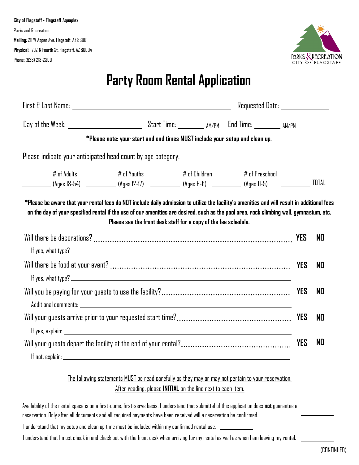

## **Party Room Rental Application**

|                                                                                                                                              | Requested Date: _______________                                              |               |                  |            |    |
|----------------------------------------------------------------------------------------------------------------------------------------------|------------------------------------------------------------------------------|---------------|------------------|------------|----|
|                                                                                                                                              |                                                                              |               |                  |            |    |
|                                                                                                                                              | *Please note: your start and end times MUST include your setup and clean up. |               |                  |            |    |
| Please indicate your anticipated head count by age category:                                                                                 |                                                                              |               |                  |            |    |
| $#$ of Adults<br>___________(Ages 18-54) ___________(Ages 12-17) ___________(Ages 6-11) _________(Ages 0-5)   ___________TOTAL               | # of Youths                                                                  | # of Children | $#$ of Preschool |            |    |
| *Please be aware that your rental fees do NOT include daily admission to utilize the facility's amenities and will result in additional fees |                                                                              |               |                  |            |    |
| on the day of your specified rental if the use of our amenities are desired, such as the pool area, rock climbing wall, gymnasium, etc.      | Please see the front desk staff for a copy of the fee schedule.              |               |                  |            |    |
|                                                                                                                                              |                                                                              |               |                  | <b>YES</b> | ND |
|                                                                                                                                              |                                                                              |               |                  |            | NO |
|                                                                                                                                              |                                                                              |               |                  |            | NO |
|                                                                                                                                              |                                                                              |               |                  |            | NO |
|                                                                                                                                              |                                                                              |               |                  | <b>YES</b> |    |
|                                                                                                                                              |                                                                              |               |                  |            | NO |
|                                                                                                                                              |                                                                              |               |                  |            |    |

## The following statements MUST be read carefully as they may or may not pertain to your reservation. After reading, please **INITIAL** on the line next to each item.

Availability of the rental space is on a first-come, first-serve basis. I understand that submittal of this application does **not** guarantee a reservation. Only after all documents and all required payments have been received will a reservation be confirmed.

I understand that my setup and clean up time must be included within my confirmed rental use.

I understand that I must check in and check out with the front desk when arriving for my rental as well as when I am leaving my rental.